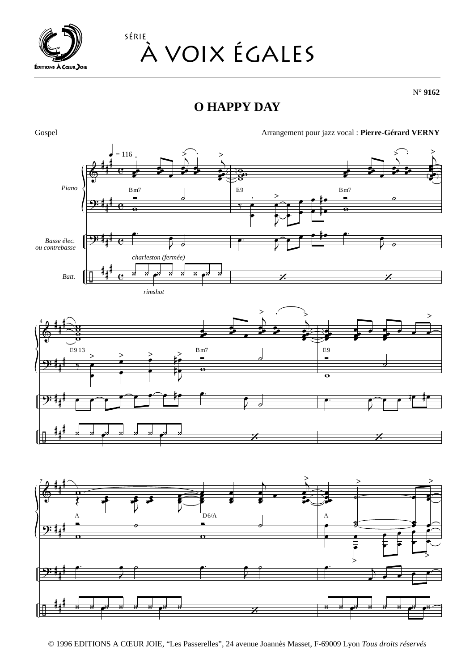

## SÉRIE À VOIX ÉGALES

 $N^{\circ}$  9162

## **O HAPPY DAY**



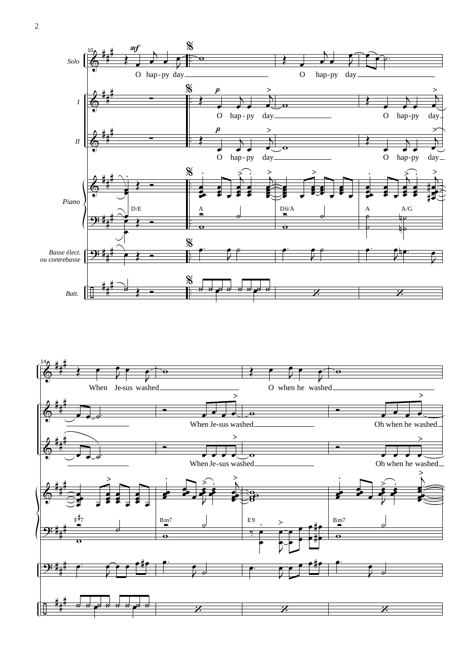